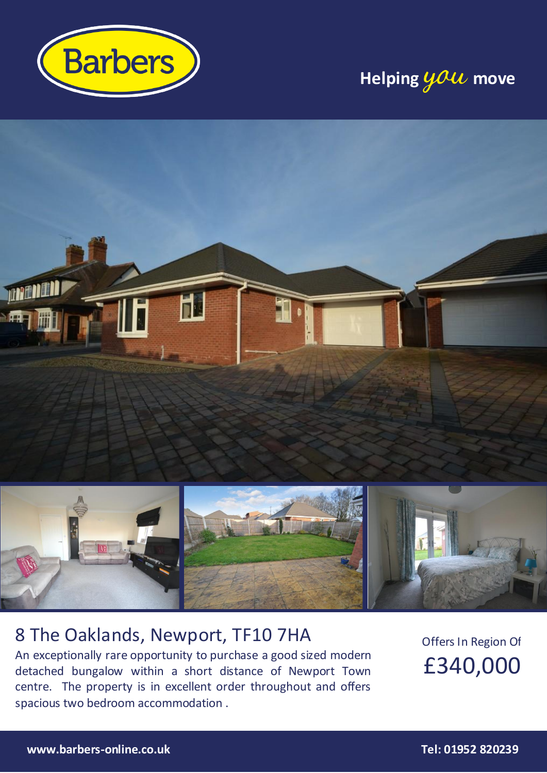

# **Helping you move**



## 8 The Oaklands, Newport, TF10 7HA

An exceptionally rare opportunity to purchase a good sized modern detached bungalow within a short distance of Newport Town centre. The property is in excellent order throughout and offers spacious two bedroom accommodation .

Offers In Region Of £340,000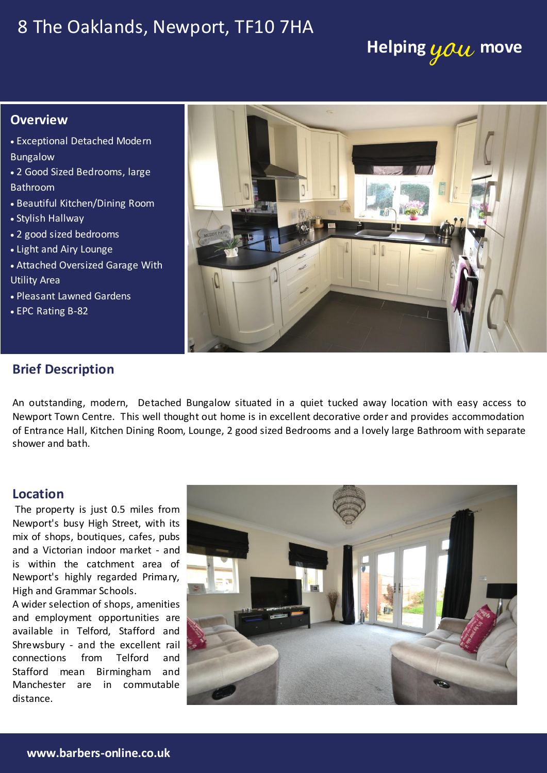## 8 The Oaklands, Newport, TF10 7HA

# **Helping you move**

### **Overview**

- Exceptional Detached Modern Bungalow
- 2 Good Sized Bedrooms, large Bathroom
- Beautiful Kitchen/Dining Room
- Stylish Hallway
- 2 good sized bedrooms
- Light and Airy Lounge
- Attached Oversized Garage With Utility Area
- Pleasant Lawned Gardens
- EPC Rating B-82



### **Brief Description**

An outstanding, modern, Detached Bungalow situated in a quiet tucked away location with easy access to Newport Town Centre. This well thought out home is in excellent decorative order and provides accommodation of Entrance Hall, Kitchen Dining Room, Lounge, 2 good sized Bedrooms and a lovely large Bathroom with separate shower and bath.

#### wardrobe and coving. **Location**

and a Victorian indoor market - and The property is just 0.5 miles from is within the catchment area of High and Grammar Schools.

and employment opportunities are distance. Email: Newport 201952. Email: Newport 2019 available in Telford, Stafford and connections from Telford and Stafford mean Birmingham and

![](_page_1_Picture_18.jpeg)

onto Station Road.

ACCOMMODATION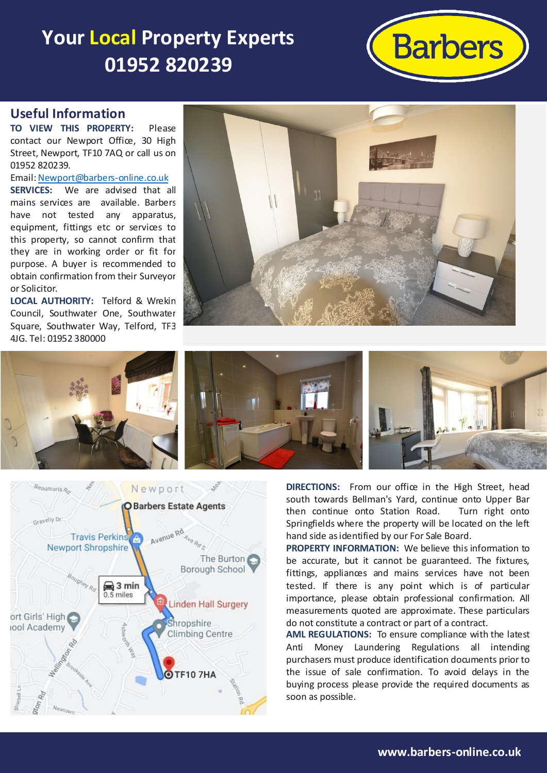# **Your Local Property Experts 01952 820239**

![](_page_2_Picture_1.jpeg)

### **Useful Information**

**TO VIEW THIS PROPERTY:** Please contact our Newport Office, 30 High Street, Newport, TF10 7AQ or call us on 01952 820239.

Email[: Newport@barbers-online.co.uk](mailto:Newport@barbers-online.co.uk) **SERVICES:** We are advised that all mains services are available. Barbers have not tested any apparatus, equipment, fittings etc or services to this property, so cannot confirm that they are in working order or fit for purpose. A buyer is recommended to obtain confirmation from their Surveyor or Solicitor.

**LOCAL AUTHORITY:** Telford & Wrekin Council, Southwater One, Southwater Square, Southwater Way, Telford, TF3 4JG. Tel: 01952 380000

![](_page_2_Picture_6.jpeg)

![](_page_2_Picture_7.jpeg)

![](_page_2_Picture_8.jpeg)

**DIRECTIONS:** From our office in the High Street, head south towards Bellman's Yard, continue onto Upper Bar then continue onto Station Road. Turn right onto Springfields where the property will be located on the left hand side as identified by our For Sale Board.

**PROPERTY INFORMATION:** We believe this information to be accurate, but it cannot be guaranteed. The fixtures, fittings, appliances and mains services have not been tested. If there is any point which is of particular importance, please obtain professional confirmation. All measurements quoted are approximate. These particulars do not constitute a contract or part of a contract.

**AML REGULATIONS:** To ensure compliance with the latest Anti Money Laundering Regulations all intending purchasers must produce identification documents prior to the issue of sale confirmation. To avoid delays in the buying process please provide the required documents as soon as possible.